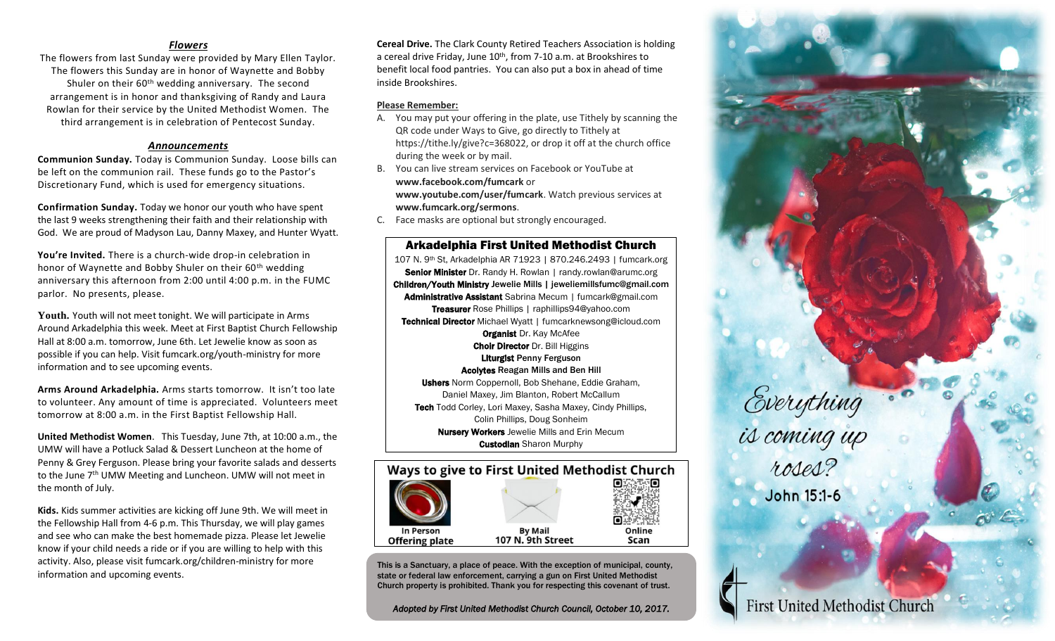## *Flowers*

The flowers from last Sunday were provided by Mary Ellen Taylor. The flowers this Sunday are in honor of Waynette and Bobby Shuler on their  $60<sup>th</sup>$  wedding anniversary. The second arrangement is in honor and thanksgiving of Randy and Laura Rowlan for their service by the United Methodist Women. The third arrangement is in celebration of Pentecost Sunday.

### *Announcements*

**Communion Sunday.** Today is Communion Sunday. Loose bills can be left on the communion rail. These funds go to the Pastor's Discretionary Fund, which is used for emergency situations.

**Confirmation Sunday.** Today we honor our youth who have spent the last 9 weeks strengthening their faith and their relationship with God. We are proud of Madyson Lau, Danny Maxey, and Hunter Wyatt.

**You're Invited.** There is a church-wide drop-in celebration in honor of Waynette and Bobby Shuler on their 60<sup>th</sup> wedding anniversary this afternoon from 2:00 until 4:00 p.m. in the FUMC parlor. No presents, please.

**Youth.** Youth will not meet tonight. We will participate in Arms Around Arkadelphia this week. Meet at First Baptist Church Fellowship Hall at 8:00 a.m. tomorrow, June 6th. Let Jewelie know as soon as possible if you can help. Visit fumcark.org/youth-ministry for more information and to see upcoming events.

**Arms Around Arkadelphia.** Arms starts tomorrow. It isn't too late to volunteer. Any amount of time is appreciated. Volunteers meet tomorrow at 8:00 a.m. in the First Baptist Fellowship Hall.

**United Methodist Women**. This Tuesday, June 7th, at 10:00 a.m., the UMW will have a Potluck Salad & Dessert Luncheon at the home of Penny & Grey Ferguson. Please bring your favorite salads and desserts to the June 7<sup>th</sup> UMW Meeting and Luncheon. UMW will not meet in the month of July.

**Kids.** Kids summer activities are kicking off June 9th. We will meet in the Fellowship Hall from 4-6 p.m. This Thursday, we will play games and see who can make the best homemade pizza. Please let Jewelie know if your child needs a ride or if you are willing to help with this activity. Also, please visit fumcark.org/children-ministry for more information and upcoming events.

**Cereal Drive.** The Clark County Retired Teachers Association is holding a cereal drive Friday, June 10<sup>th</sup>, from 7-10 a.m. at Brookshires to benefit local food pantries. You can also put a box in ahead of time inside Brookshires.

### **Please Remember:**

- A. You may put your offering in the plate, use Tithely by scanning the QR code under Ways to Give, go directly to Tithely at https://tithe.ly/give?c=368022, or drop it off at the church office during the week or by mail.
- B. You can live stream services on Facebook or YouTube at **www.facebook.com/fumcark** or **www.youtube.com/user/fumcark**. Watch previous services at **www.fumcark.org/sermons**.
- C. Face masks are optional but strongly encouraged.

Arkadelphia First United Methodist Church 107 N. 9th St, Arkadelphia AR 71923 | 870.246.2493 | fumcark.org Senior Minister Dr. Randy H. Rowlan | randy.rowlan@arumc.org Children/Youth Ministry Jewelie Mills | jeweliemillsfumc@gmail.com Administrative Assistant Sabrina Mecum | fumcark@gmail.com Treasurer Rose Phillips | raphillips94@yahoo.com Technical Director Michael Wyatt | fumcarknewsong@icloud.com **Organist Dr. Kay McAfee Choir Director Dr. Bill Higgins** Liturgist Penny Ferguson Acolytes Reagan Mills and Ben Hill Ushers Norm Coppernoll, Bob Shehane, Eddie Graham, Daniel Maxey, Jim Blanton, Robert McCallum Tech Todd Corley, Lori Maxey, Sasha Maxey, Cindy Phillips, Colin Phillips, Doug Sonheim Nursery Workers Jewelie Mills and Erin Mecum **Custodian** Sharon Murphy



This is a Sanctuary, a place of peace. With the exception of municipal, county, state or federal law enforcement, carrying a gun on First United Methodist Church property is prohibited. Thank you for respecting this covenant of trust.

*Adopted by First United Methodist Church Council, October 10, 2017.*